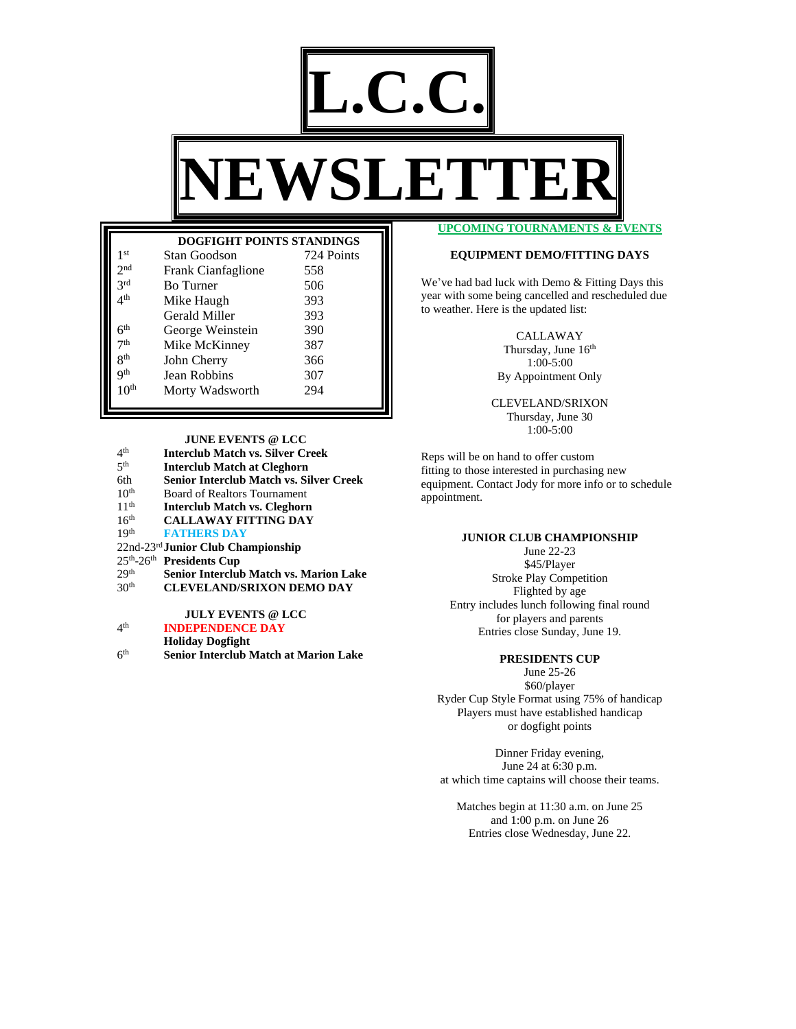

|                  | <b>DOGFIGHT POINTS STANDINGS</b> |            |
|------------------|----------------------------------|------------|
| 1 <sup>st</sup>  | Stan Goodson                     | 724 Points |
| 2 <sup>nd</sup>  | Frank Cianfaglione               | 558        |
| 2rd              | <b>Bo</b> Turner                 | 506        |
| 4th              | Mike Haugh                       | 393        |
|                  | Gerald Miller                    | 393        |
| $6^{\rm th}$     | George Weinstein                 | 390        |
| 7 <sup>th</sup>  | Mike McKinney                    | 387        |
| gth              | John Cherry                      | 366        |
| Qth              | Jean Robbins                     | 307        |
| $10^{\text{th}}$ | Morty Wadsworth                  | 294        |

**JUNE EVENTS @ LCC**

- $4<sup>th</sup>$ th **Interclub Match vs. Silver Creek**
- $5<sup>th</sup>$ th **Interclub Match at Cleghorn**
- 6th **Senior Interclub Match vs. Silver Creek**
- $10^{\text{th}}$ <br> $11^{\text{th}}$ Board of Realtors Tournament
- 11<sup>th</sup> **Interclub Match vs. Cleghorn**<br>16<sup>th</sup> **CALLAWAY FITTING DAY**
- 16th **CALLAWAY FITTING DAY**
- $19<sup>th</sup>$ **FATHERS DAY**
- 22nd-23rd **Junior Club Championship**
- 25th -26th **Presidents Cup**
- 29<sup>th</sup> Senior Interclub Match vs. Marion Lake<br>30<sup>th</sup> CLEVELAND/SRIXON DEMO DAY
- 30th **CLEVELAND/SRIXON DEMO DAY**

**JULY EVENTS @ LCC**

4<sup>th</sup> th **INDEPENDENCE DAY**

**Holiday Dogfight**

 $6<sup>th</sup>$ **Senior Interclub Match at Marion Lake**  **UPCOMING TOURNAMENTS & EVENTS**

## **EQUIPMENT DEMO/FITTING DAYS**

We've had bad luck with Demo & Fitting Days this year with some being cancelled and rescheduled due to weather. Here is the updated list:

CALLAWAY

Thursday, June 16<sup>th</sup> 1:00-5:00 By Appointment Only

CLEVELAND/SRIXON Thursday, June 30 1:00-5:00

Reps will be on hand to offer custom fitting to those interested in purchasing new equipment. Contact Jody for more info or to schedule appointment.

## **JUNIOR CLUB CHAMPIONSHIP**

June 22-23 \$45/Player Stroke Play Competition Flighted by age Entry includes lunch following final round for players and parents Entries close Sunday, June 19.

## **PRESIDENTS CUP**

June 25-26 \$60/player Ryder Cup Style Format using 75% of handicap Players must have established handicap or dogfight points

Dinner Friday evening, June 24 at 6:30 p.m. at which time captains will choose their teams.

Matches begin at 11:30 a.m. on June 25 and 1:00 p.m. on June 26 Entries close Wednesday, June 22.